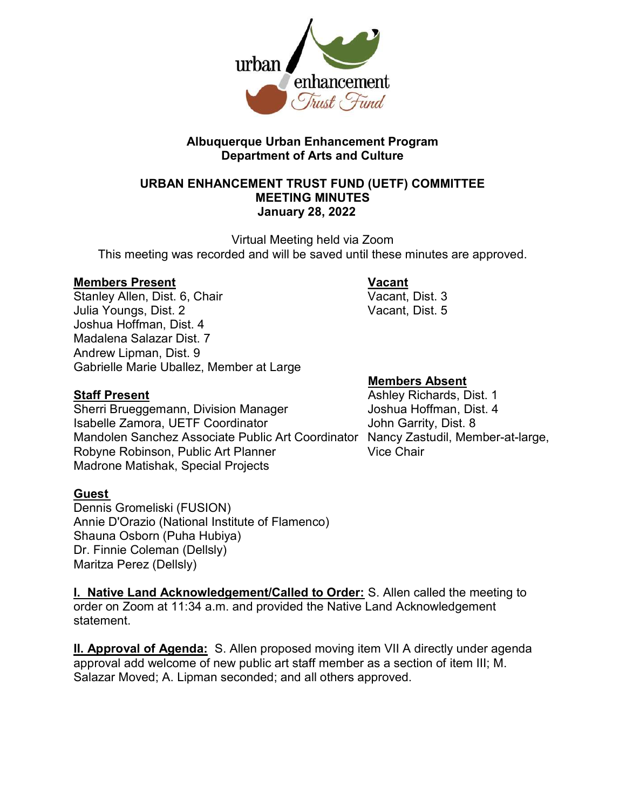

## Albuquerque Urban Enhancement Program Department of Arts and Culture

## URBAN ENHANCEMENT TRUST FUND (UETF) COMMITTEE MEETING MINUTES January 28, 2022

Virtual Meeting held via Zoom This meeting was recorded and will be saved until these minutes are approved.

Members Present Vacant Stanley Allen, Dist. 6, Chair Julia Youngs, Dist. 2 Vacant, Dist. 5 Joshua Hoffman, Dist. 4 Madalena Salazar Dist. 7 Andrew Lipman, Dist. 9 Gabrielle Marie Uballez, Member at Large

Sherri Brueggemann, Division Manager Joshua Hoffman, Dist. 4 Isabelle Zamora, UETF Coordinator **International Students** John Garrity, Dist. 8 Mandolen Sanchez Associate Public Art Coordinator Nancy Zastudil, Member-at-large, Robyne Robinson, Public Art Planner Vice Chair Madrone Matishak, Special Projects

## Guest

Dennis Gromeliski (FUSION) Annie D'Orazio (National Institute of Flamenco) Shauna Osborn (Puha Hubiya) Dr. Finnie Coleman (Dellsly) Maritza Perez (Dellsly)

I. Native Land Acknowledgement/Called to Order: S. Allen called the meeting to order on Zoom at 11:34 a.m. and provided the Native Land Acknowledgement statement.

II. Approval of Agenda: S. Allen proposed moving item VII A directly under agenda approval add welcome of new public art staff member as a section of item III; M. Salazar Moved; A. Lipman seconded; and all others approved.

### Members Absent

**Staff Present Ashley Richards, Dist. 1** Ashley Richards, Dist. 1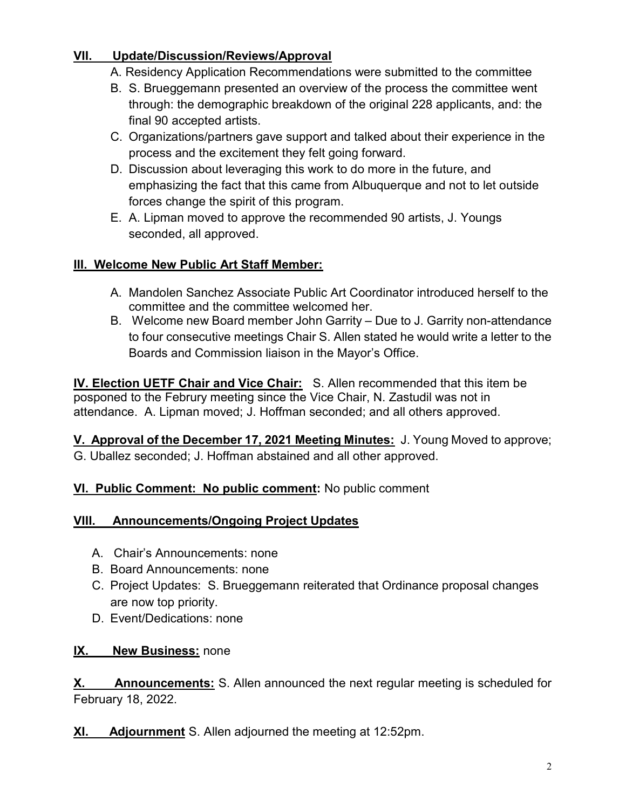## VII. Update/Discussion/Reviews/Approval

- A. Residency Application Recommendations were submitted to the committee
- B. S. Brueggemann presented an overview of the process the committee went through: the demographic breakdown of the original 228 applicants, and: the final 90 accepted artists.
- C. Organizations/partners gave support and talked about their experience in the process and the excitement they felt going forward.
- D. Discussion about leveraging this work to do more in the future, and emphasizing the fact that this came from Albuquerque and not to let outside forces change the spirit of this program.
- E. A. Lipman moved to approve the recommended 90 artists, J. Youngs seconded, all approved.

# III. Welcome New Public Art Staff Member:

- A. Mandolen Sanchez Associate Public Art Coordinator introduced herself to the committee and the committee welcomed her.
- B. Welcome new Board member John Garrity Due to J. Garrity non-attendance to four consecutive meetings Chair S. Allen stated he would write a letter to the Boards and Commission liaison in the Mayor's Office.

IV. Election UETF Chair and Vice Chair: S. Allen recommended that this item be posponed to the Februry meeting since the Vice Chair, N. Zastudil was not in attendance. A. Lipman moved; J. Hoffman seconded; and all others approved.

V. Approval of the December 17, 2021 Meeting Minutes: J. Young Moved to approve; G. Uballez seconded; J. Hoffman abstained and all other approved.

# VI. Public Comment: No public comment: No public comment

# VIII. Announcements/Ongoing Project Updates

- A. Chair's Announcements: none
- B. Board Announcements: none
- C. Project Updates: S. Brueggemann reiterated that Ordinance proposal changes are now top priority.
- D. Event/Dedications: none

# **IX.** New Business: none

X. Announcements: S. Allen announced the next regular meeting is scheduled for February 18, 2022.

XI. Adjournment S. Allen adjourned the meeting at 12:52pm.